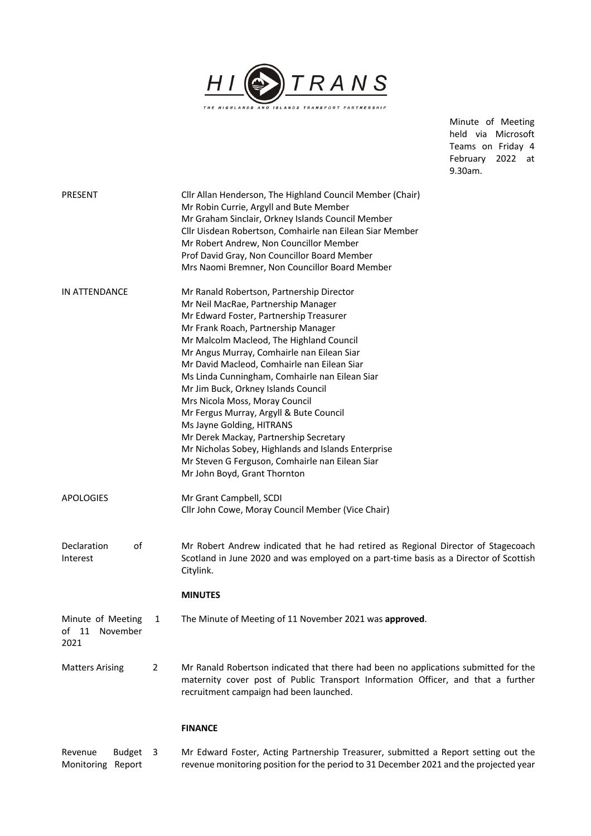

Minute of Meeting held via Microsoft Teams on Friday 4 February 2022 at 9.30am.

| PRESENT                       |   | Cllr Allan Henderson, The Highland Council Member (Chair)<br>Mr Robin Currie, Argyll and Bute Member<br>Mr Graham Sinclair, Orkney Islands Council Member<br>Cllr Uisdean Robertson, Comhairle nan Eilean Siar Member<br>Mr Robert Andrew, Non Councillor Member<br>Prof David Gray, Non Councillor Board Member                                                                                                                                                                                                                                                                                                                                                                                                                                     |
|-------------------------------|---|------------------------------------------------------------------------------------------------------------------------------------------------------------------------------------------------------------------------------------------------------------------------------------------------------------------------------------------------------------------------------------------------------------------------------------------------------------------------------------------------------------------------------------------------------------------------------------------------------------------------------------------------------------------------------------------------------------------------------------------------------|
| IN ATTENDANCE                 |   | Mrs Naomi Bremner, Non Councillor Board Member<br>Mr Ranald Robertson, Partnership Director<br>Mr Neil MacRae, Partnership Manager<br>Mr Edward Foster, Partnership Treasurer<br>Mr Frank Roach, Partnership Manager<br>Mr Malcolm Macleod, The Highland Council<br>Mr Angus Murray, Comhairle nan Eilean Siar<br>Mr David Macleod, Comhairle nan Eilean Siar<br>Ms Linda Cunningham, Comhairle nan Eilean Siar<br>Mr Jim Buck, Orkney Islands Council<br>Mrs Nicola Moss, Moray Council<br>Mr Fergus Murray, Argyll & Bute Council<br>Ms Jayne Golding, HITRANS<br>Mr Derek Mackay, Partnership Secretary<br>Mr Nicholas Sobey, Highlands and Islands Enterprise<br>Mr Steven G Ferguson, Comhairle nan Eilean Siar<br>Mr John Boyd, Grant Thornton |
| <b>APOLOGIES</b>              |   | Mr Grant Campbell, SCDI<br>Cllr John Cowe, Moray Council Member (Vice Chair)                                                                                                                                                                                                                                                                                                                                                                                                                                                                                                                                                                                                                                                                         |
| Declaration<br>of<br>Interest |   | Mr Robert Andrew indicated that he had retired as Regional Director of Stagecoach<br>Scotland in June 2020 and was employed on a part-time basis as a Director of Scottish<br>Citylink.                                                                                                                                                                                                                                                                                                                                                                                                                                                                                                                                                              |
| Minute of Meeting             | 1 | <b>MINUTES</b><br>The Minute of Meeting of 11 November 2021 was approved.                                                                                                                                                                                                                                                                                                                                                                                                                                                                                                                                                                                                                                                                            |
| of 11 November<br>2021        |   |                                                                                                                                                                                                                                                                                                                                                                                                                                                                                                                                                                                                                                                                                                                                                      |
| <b>Matters Arising</b>        | 2 | Mr Ranald Robertson indicated that there had been no applications submitted for the<br>maternity cover post of Public Transport Information Officer, and that a further<br>recruitment campaign had been launched.                                                                                                                                                                                                                                                                                                                                                                                                                                                                                                                                   |
|                               |   | <b>FINANCE</b>                                                                                                                                                                                                                                                                                                                                                                                                                                                                                                                                                                                                                                                                                                                                       |

Revenue Budget Monitoring Report 3 Mr Edward Foster, Acting Partnership Treasurer, submitted a Report setting out the revenue monitoring position for the period to 31 December 2021 and the projected year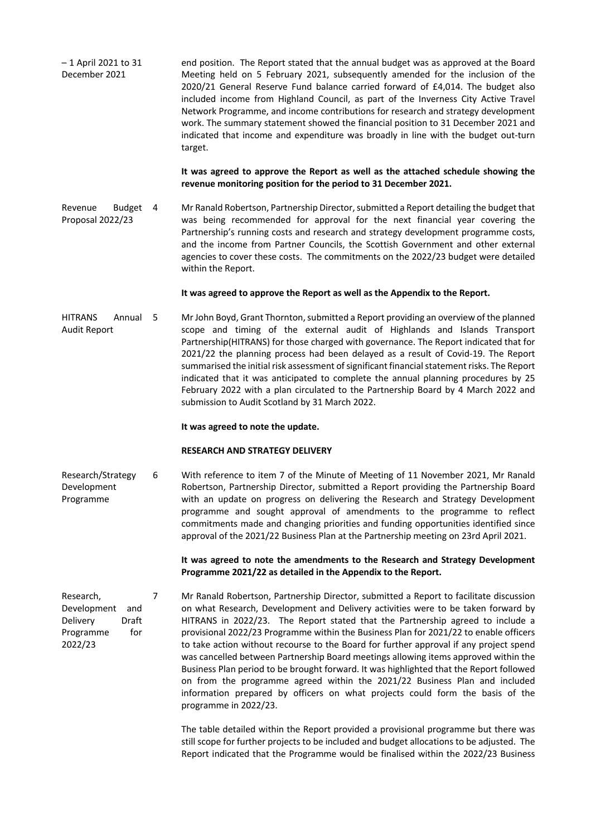| $-1$ April 2021 to 31 | end position. The Report stated that the annual budget was as approved at the Board |
|-----------------------|-------------------------------------------------------------------------------------|
| December 2021         | Meeting held on 5 February 2021, subsequently amended for the inclusion of the      |
|                       | 2020/21 General Reserve Fund balance carried forward of £4,014. The budget also     |
|                       | included income from Highland Council, as part of the Inverness City Active Travel  |
|                       | Network Programme, and income contributions for research and strategy development   |
|                       | work. The summary statement showed the financial position to 31 December 2021 and   |
|                       | indicated that income and expenditure was broadly in line with the budget out-turn  |
|                       | target.                                                                             |

**It was agreed to approve the Report as well as the attached schedule showing the revenue monitoring position for the period to 31 December 2021.**

Revenue Budget Proposal 2022/23 Mr Ranald Robertson, Partnership Director, submitted a Report detailing the budget that was being recommended for approval for the next financial year covering the Partnership's running costs and research and strategy development programme costs, and the income from Partner Councils, the Scottish Government and other external agencies to cover these costs. The commitments on the 2022/23 budget were detailed within the Report.

### **It was agreed to approve the Report as well as the Appendix to the Report.**

HITRANS Annual 5 Audit Report Mr John Boyd, Grant Thornton, submitted a Report providing an overview of the planned scope and timing of the external audit of Highlands and Islands Transport Partnership(HITRANS) for those charged with governance. The Report indicated that for 2021/22 the planning process had been delayed as a result of Covid-19. The Report summarised the initial risk assessment of significant financial statement risks. The Report indicated that it was anticipated to complete the annual planning procedures by 25 February 2022 with a plan circulated to the Partnership Board by 4 March 2022 and submission to Audit Scotland by 31 March 2022.

#### **It was agreed to note the update.**

#### **RESEARCH AND STRATEGY DELIVERY**

Research/Strategy Development Programme 6 With reference to item 7 of the Minute of Meeting of 11 November 2021, Mr Ranald Robertson, Partnership Director, submitted a Report providing the Partnership Board with an update on progress on delivering the Research and Strategy Development programme and sought approval of amendments to the programme to reflect commitments made and changing priorities and funding opportunities identified since approval of the 2021/22 Business Plan at the Partnership meeting on 23rd April 2021.

> **It was agreed to note the amendments to the Research and Strategy Development Programme 2021/22 as detailed in the Appendix to the Report.**

7 Mr Ranald Robertson, Partnership Director, submitted a Report to facilitate discussion on what Research, Development and Delivery activities were to be taken forward by HITRANS in 2022/23. The Report stated that the Partnership agreed to include a provisional 2022/23 Programme within the Business Plan for 2021/22 to enable officers to take action without recourse to the Board for further approval if any project spend was cancelled between Partnership Board meetings allowing items approved within the Business Plan period to be brought forward. It was highlighted that the Report followed on from the programme agreed within the 2021/22 Business Plan and included information prepared by officers on what projects could form the basis of the programme in 2022/23.

> The table detailed within the Report provided a provisional programme but there was still scope for further projects to be included and budget allocations to be adjusted. The Report indicated that the Programme would be finalised within the 2022/23 Business

Research, Development and Delivery Draft Programme for 2022/23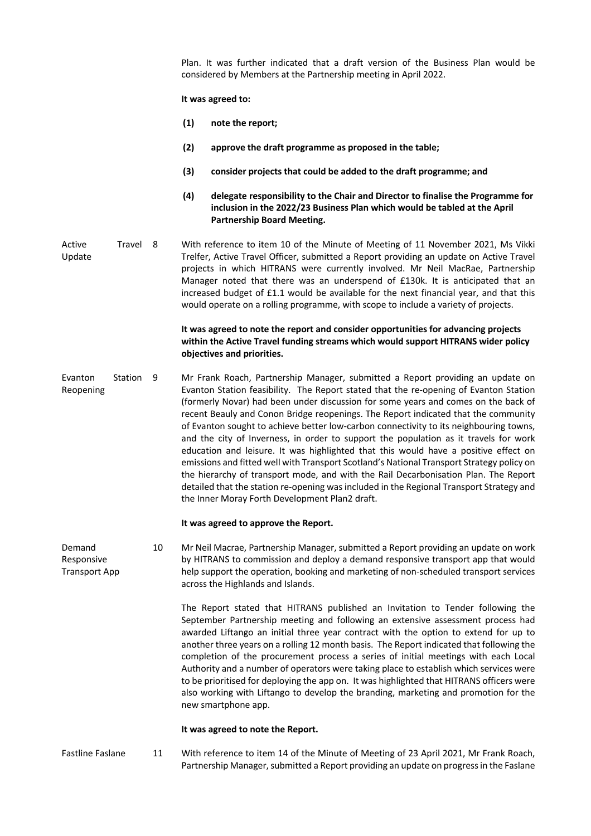Plan. It was further indicated that a draft version of the Business Plan would be considered by Members at the Partnership meeting in April 2022.

## **It was agreed to:**

- **(1) note the report;**
- **(2) approve the draft programme as proposed in the table;**
- **(3) consider projects that could be added to the draft programme; and**
- **(4) delegate responsibility to the Chair and Director to finalise the Programme for inclusion in the 2022/23 Business Plan which would be tabled at the April Partnership Board Meeting.**
- Active Travel 8 Update With reference to item 10 of the Minute of Meeting of 11 November 2021, Ms Vikki Trelfer, Active Travel Officer, submitted a Report providing an update on Active Travel projects in which HITRANS were currently involved. Mr Neil MacRae, Partnership Manager noted that there was an underspend of £130k. It is anticipated that an increased budget of £1.1 would be available for the next financial year, and that this would operate on a rolling programme, with scope to include a variety of projects.

# **It was agreed to note the report and consider opportunities for advancing projects within the Active Travel funding streams which would support HITRANS wider policy objectives and priorities.**

Evanton Station Reopening 9 Mr Frank Roach, Partnership Manager, submitted a Report providing an update on Evanton Station feasibility. The Report stated that the re-opening of Evanton Station (formerly Novar) had been under discussion for some years and comes on the back of recent Beauly and Conon Bridge reopenings. The Report indicated that the community of Evanton sought to achieve better low-carbon connectivity to its neighbouring towns, and the city of Inverness, in order to support the population as it travels for work education and leisure. It was highlighted that this would have a positive effect on emissions and fitted well with Transport Scotland's National Transport Strategy policy on the hierarchy of transport mode, and with the Rail Decarbonisation Plan. The Report detailed that the station re-opening was included in the Regional Transport Strategy and the Inner Moray Forth Development Plan2 draft.

## **It was agreed to approve the Report.**

Demand Responsive Transport App 10 Mr Neil Macrae, Partnership Manager, submitted a Report providing an update on work by HITRANS to commission and deploy a demand responsive transport app that would help support the operation, booking and marketing of non-scheduled transport services across the Highlands and Islands.

> The Report stated that HITRANS published an Invitation to Tender following the September Partnership meeting and following an extensive assessment process had awarded Liftango an initial three year contract with the option to extend for up to another three years on a rolling 12 month basis. The Report indicated that following the completion of the procurement process a series of initial meetings with each Local Authority and a number of operators were taking place to establish which services were to be prioritised for deploying the app on. It was highlighted that HITRANS officers were also working with Liftango to develop the branding, marketing and promotion for the new smartphone app.

## **It was agreed to note the Report.**

Fastline Faslane 11 With reference to item 14 of the Minute of Meeting of 23 April 2021, Mr Frank Roach, Partnership Manager, submitted a Report providing an update on progress in the Faslane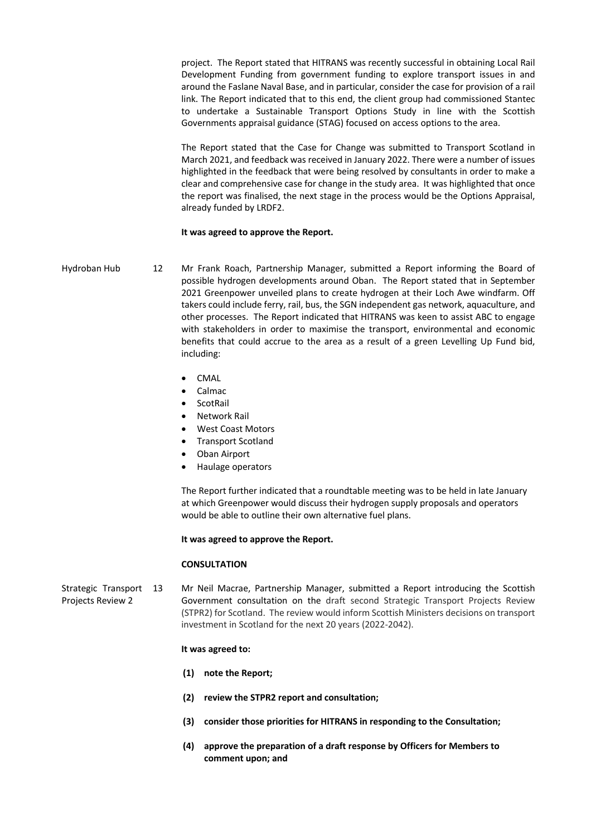project. The Report stated that HITRANS was recently successful in obtaining Local Rail Development Funding from government funding to explore transport issues in and around the Faslane Naval Base, and in particular, consider the case for provision of a rail link. The Report indicated that to this end, the client group had commissioned Stantec to undertake a Sustainable Transport Options Study in line with the Scottish Governments appraisal guidance (STAG) focused on access options to the area.

The Report stated that the Case for Change was submitted to Transport Scotland in March 2021, and feedback was received in January 2022. There were a number of issues highlighted in the feedback that were being resolved by consultants in order to make a clear and comprehensive case for change in the study area. It was highlighted that once the report was finalised, the next stage in the process would be the Options Appraisal, already funded by LRDF2.

## **It was agreed to approve the Report.**

Hydroban Hub 12 Mr Frank Roach, Partnership Manager, submitted a Report informing the Board of possible hydrogen developments around Oban. The Report stated that in September 2021 Greenpower unveiled plans to create hydrogen at their Loch Awe windfarm. Off takers could include ferry, rail, bus, the SGN independent gas network, aquaculture, and other processes. The Report indicated that HITRANS was keen to assist ABC to engage with stakeholders in order to maximise the transport, environmental and economic benefits that could accrue to the area as a result of a green Levelling Up Fund bid, including:

- CMAL
- Calmac
- ScotRail
- Network Rail
- West Coast Motors
- Transport Scotland
- Oban Airport
- Haulage operators

The Report further indicated that a roundtable meeting was to be held in late January at which Greenpower would discuss their hydrogen supply proposals and operators would be able to outline their own alternative fuel plans.

### **It was agreed to approve the Report.**

## **CONSULTATION**

Strategic Transport 13 Projects Review 2 Mr Neil Macrae, Partnership Manager, submitted a Report introducing the Scottish Government consultation on the draft second Strategic Transport Projects Review (STPR2) for Scotland. The review would inform Scottish Ministers decisions on transport investment in Scotland for the next 20 years (2022-2042).

#### **It was agreed to:**

- **(1) note the Report;**
- **(2) review the STPR2 report and consultation;**
- **(3) consider those priorities for HITRANS in responding to the Consultation;**
- **(4) approve the preparation of a draft response by Officers for Members to comment upon; and**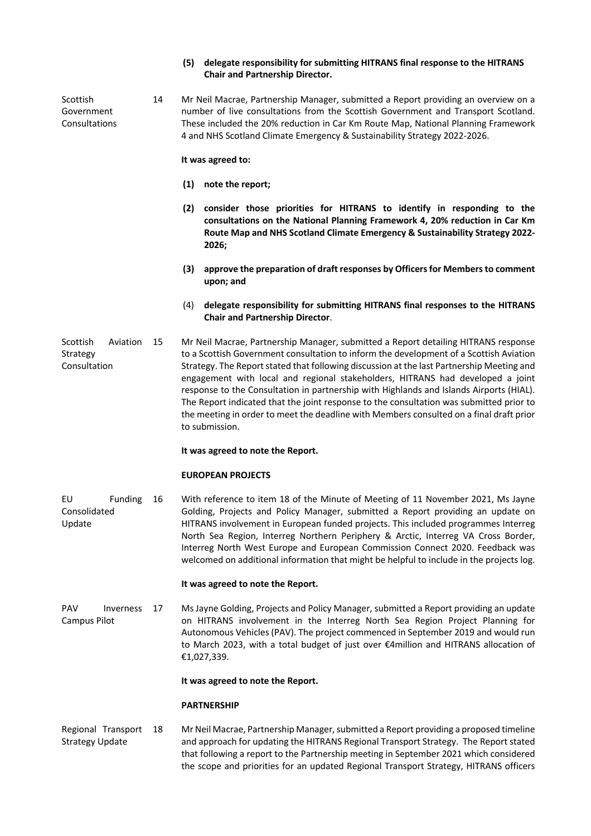# **(5) delegate responsibility for submitting HITRANS final response to the HITRANS Chair and Partnership Director.**

Scottish Government Consultations 14 Mr Neil Macrae, Partnership Manager, submitted a Report providing an overview on a number of live consultations from the Scottish Government and Transport Scotland. These included the 20% reduction in Car Km Route Map, National Planning Framework 4 and NHS Scotland Climate Emergency & Sustainability Strategy 2022-2026.

**It was agreed to:**

- **(1) note the report;**
- **(2) consider those priorities for HITRANS to identify in responding to the consultations on the National Planning Framework 4, 20% reduction in Car Km Route Map and NHS Scotland Climate Emergency & Sustainability Strategy 2022- 2026;**
- **(3) approve the preparation of draft responses by Officersfor Membersto comment upon; and**
- (4) **delegate responsibility for submitting HITRANS final responses to the HITRANS Chair and Partnership Director**.

Scottish Aviation 15 Strategy Consultation Mr Neil Macrae, Partnership Manager, submitted a Report detailing HITRANS response to a Scottish Government consultation to inform the development of a Scottish Aviation Strategy. The Report stated that following discussion at the last Partnership Meeting and engagement with local and regional stakeholders, HITRANS had developed a joint response to the Consultation in partnership with Highlands and Islands Airports (HIAL). The Report indicated that the joint response to the consultation was submitted prior to the meeting in order to meet the deadline with Members consulted on a final draft prior to submission.

# **It was agreed to note the Report.**

## **EUROPEAN PROJECTS**

EU Funding Consolidated Update With reference to item 18 of the Minute of Meeting of 11 November 2021, Ms Jayne Golding, Projects and Policy Manager, submitted a Report providing an update on HITRANS involvement in European funded projects. This included programmes Interreg North Sea Region, Interreg Northern Periphery & Arctic, Interreg VA Cross Border, Interreg North West Europe and European Commission Connect 2020. Feedback was welcomed on additional information that might be helpful to include in the projects log.

# **It was agreed to note the Report.**

PAV Inverness 17 Campus Pilot Ms Jayne Golding, Projects and Policy Manager, submitted a Report providing an update on HITRANS involvement in the Interreg North Sea Region Project Planning for Autonomous Vehicles (PAV). The project commenced in September 2019 and would run to March 2023, with a total budget of just over €4million and HITRANS allocation of €1,027,339.

**It was agreed to note the Report.**

# **PARTNERSHIP**

Regional Transport Strategy Update Mr Neil Macrae, Partnership Manager, submitted a Report providing a proposed timeline and approach for updating the HITRANS Regional Transport Strategy. The Report stated that following a report to the Partnership meeting in September 2021 which considered the scope and priorities for an updated Regional Transport Strategy, HITRANS officers